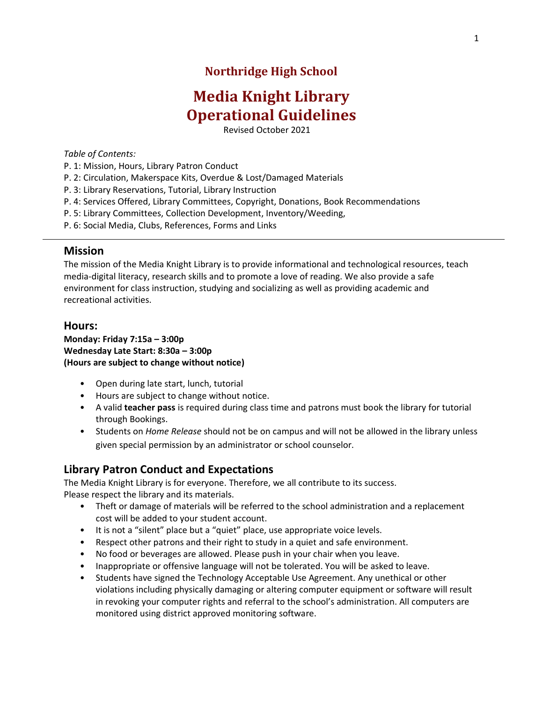# **Northridge High School**

# **Media Knight Library Operational Guidelines**

Revised October 2021

#### *Table of Contents:*

- P. 1: Mission, Hours, Library Patron Conduct
- P. 2: Circulation, Makerspace Kits, Overdue & Lost/Damaged Materials
- P. 3: Library Reservations, Tutorial, Library Instruction
- P. 4: Services Offered, Library Committees, Copyright, Donations, Book Recommendations
- P. 5: Library Committees, Collection Development, Inventory/Weeding,
- P. 6: Social Media, Clubs, References, Forms and Links

#### **Mission**

The mission of the Media Knight Library is to provide informational and technological resources, teach media-digital literacy, research skills and to promote a love of reading. We also provide a safe environment for class instruction, studying and socializing as well as providing academic and recreational activities.

#### **Hours:**

**Monday: Friday 7:15a – 3:00p Wednesday Late Start: 8:30a – 3:00p (Hours are subject to change without notice)**

- Open during late start, lunch, tutorial
- Hours are subject to change without notice.
- A valid **teacher pass** is required during class time and patrons must book the library for tutorial through Bookings.
- Students on *Home Release* should not be on campus and will not be allowed in the library unless given special permission by an administrator or school counselor.

#### **Library Patron Conduct and Expectations**

The Media Knight Library is for everyone. Therefore, we all contribute to its success. Please respect the library and its materials.

- Theft or damage of materials will be referred to the school administration and a replacement cost will be added to your student account.
- It is not a "silent" place but a "quiet" place, use appropriate voice levels.
- Respect other patrons and their right to study in a quiet and safe environment.
- No food or beverages are allowed. Please push in your chair when you leave.
- Inappropriate or offensive language will not be tolerated. You will be asked to leave.
- Students have signed the Technology Acceptable Use Agreement. Any unethical or other violations including physically damaging or altering computer equipment or software will result in revoking your computer rights and referral to the school's administration. All computers are monitored using district approved monitoring software.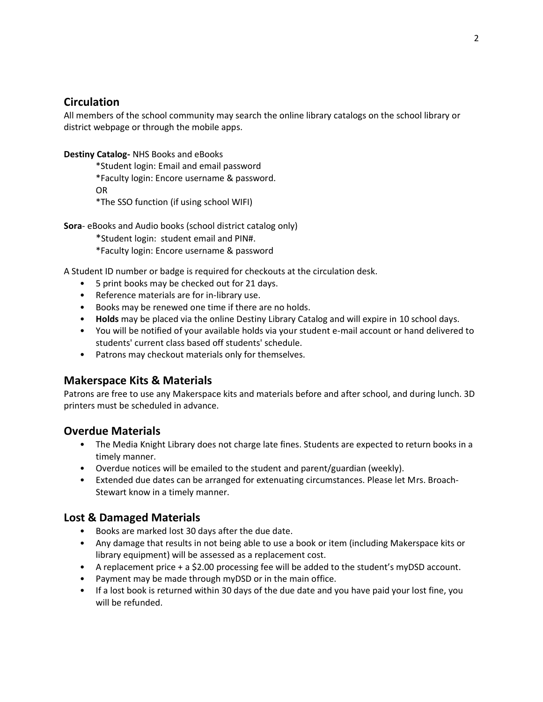#### **Circulation**

All members of the school community may search the online library catalogs on the school library or district webpage or through the mobile apps.

**Destiny Catalog-** NHS Books and eBooks

\*Student login: Email and email password \*Faculty login: Encore username & password. OR \*The SSO function (if using school WIFI)

**Sora**- eBooks and Audio books (school district catalog only)

\*Student login: student email and PIN#.

\*Faculty login: Encore username & password

A Student ID number or badge is required for checkouts at the circulation desk.

- 5 print books may be checked out for 21 days.
- Reference materials are for in-library use.
- Books may be renewed one time if there are no holds.
- **Holds** may be placed via the online Destiny Library Catalog and will expire in 10 school days.
- You will be notified of your available holds via your student e-mail account or hand delivered to students' current class based off students' schedule.
- Patrons may checkout materials only for themselves.

#### **Makerspace Kits & Materials**

Patrons are free to use any Makerspace kits and materials before and after school, and during lunch. 3D printers must be scheduled in advance.

## **Overdue Materials**

- The Media Knight Library does not charge late fines. Students are expected to return books in a timely manner.
- Overdue notices will be emailed to the student and parent/guardian (weekly).
- Extended due dates can be arranged for extenuating circumstances. Please let Mrs. Broach-Stewart know in a timely manner.

## **Lost & Damaged Materials**

- Books are marked lost 30 days after the due date.
- Any damage that results in not being able to use a book or item (including Makerspace kits or library equipment) will be assessed as a replacement cost.
- A replacement price + a \$2.00 processing fee will be added to the student's myDSD account.
- Payment may be made through myDSD or in the main office.
- If a lost book is returned within 30 days of the due date and you have paid your lost fine, you will be refunded.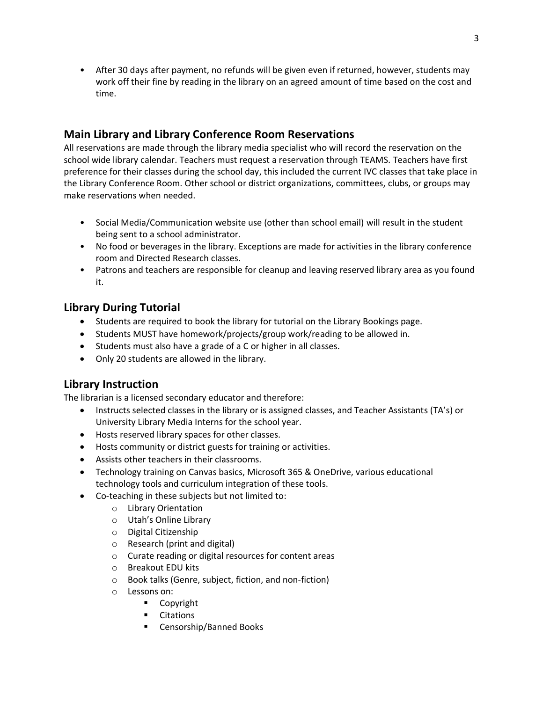• After 30 days after payment, no refunds will be given even if returned, however, students may work off their fine by reading in the library on an agreed amount of time based on the cost and time.

# **Main Library and Library Conference Room Reservations**

All reservations are made through the library media specialist who will record the reservation on the school wide library calendar. Teachers must request a reservation through TEAMS. Teachers have first preference for their classes during the school day, this included the current IVC classes that take place in the Library Conference Room. Other school or district organizations, committees, clubs, or groups may make reservations when needed.

- Social Media/Communication website use (other than school email) will result in the student being sent to a school administrator.
- No food or beverages in the library. Exceptions are made for activities in the library conference room and Directed Research classes.
- Patrons and teachers are responsible for cleanup and leaving reserved library area as you found it.

#### **Library During Tutorial**

- Students are required to book the library for tutorial on the Library Bookings page.
- Students MUST have homework/projects/group work/reading to be allowed in.
- Students must also have a grade of a C or higher in all classes.
- Only 20 students are allowed in the library.

## **Library Instruction**

The librarian is a licensed secondary educator and therefore:

- Instructs selected classes in the library or is assigned classes, and Teacher Assistants (TA's) or University Library Media Interns for the school year.
- Hosts reserved library spaces for other classes.
- Hosts community or district guests for training or activities.
- Assists other teachers in their classrooms.
- Technology training on Canvas basics, Microsoft 365 & OneDrive, various educational technology tools and curriculum integration of these tools.
- Co-teaching in these subjects but not limited to:
	- o Library Orientation
	- o Utah's Online Library
	- o Digital Citizenship
	- o Research (print and digital)
	- o Curate reading or digital resources for content areas
	- o Breakout EDU kits
	- o Book talks (Genre, subject, fiction, and non-fiction)
	- o Lessons on:
		- Copyright
		- Citations
		- Censorship/Banned Books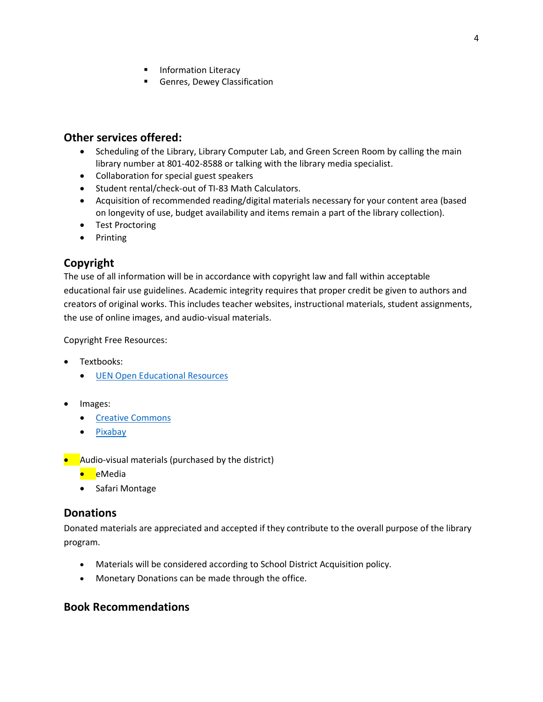- Information Literacy
- Genres, Dewey Classification

#### **Other services offered:**

- Scheduling of the Library, Library Computer Lab, and Green Screen Room by calling the main library number at 801-402-8588 or talking with the library media specialist.
- Collaboration for special guest speakers
- Student rental/check-out of TI-83 Math Calculators.
- Acquisition of recommended reading/digital materials necessary for your content area (based on longevity of use, budget availability and items remain a part of the library collection).
- Test Proctoring
- Printing

# **Copyright**

The use of all information will be in accordance with copyright law and fall within acceptable educational fair use guidelines. Academic integrity requires that proper credit be given to authors and creators of original works. This includes teacher websites, instructional materials, student assignments, the use of online images, and audio-visual materials.

Copyright Free Resources:

- Textbooks:
	- [UEN Open Educational Resources](https://www.uen.org/oer/)
- Images:
	- [Creative Commons](https://creativecommons.org/)
	- [Pixabay](https://pixabay.com/en/)

• Audio-visual materials (purchased by the district)

- eMedia
- Safari Montage

#### **Donations**

Donated materials are appreciated and accepted if they contribute to the overall purpose of the library program.

- Materials will be considered according to School District Acquisition policy.
- Monetary Donations can be made through the office.

## **Book Recommendations**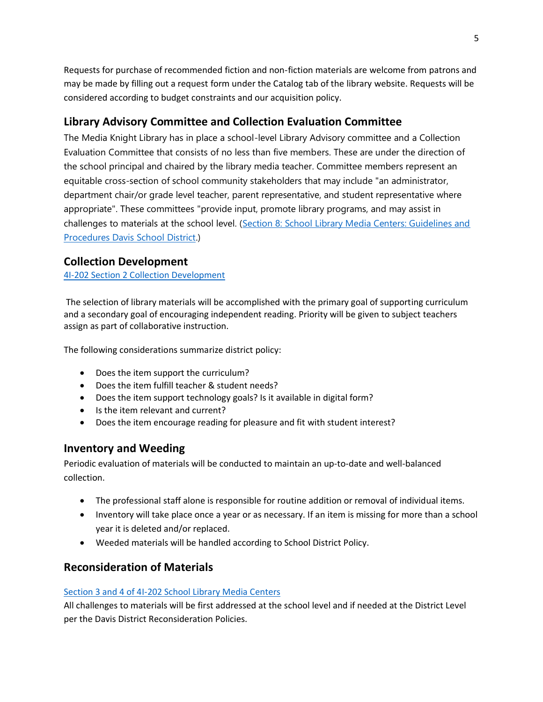Requests for purchase of recommended fiction and non-fiction materials are welcome from patrons and may be made by filling out a request form under the Catalog tab of the library website. Requests will be considered according to budget constraints and our acquisition policy.

# **Library Advisory Committee and Collection Evaluation Committee**

The Media Knight Library has in place a school-level Library Advisory committee and a Collection Evaluation Committee that consists of no less than five members. These are under the direction of the school principal and chaired by the library media teacher. Committee members represent an equitable cross-section of school community stakeholders that may include "an administrator, department chair/or grade level teacher, parent representative, and student representative where appropriate". These committees "provide input, promote library programs, and may assist in challenges to materials at the school level. (Section 8: School Library Media Centers: Guidelines and [Procedures Davis School District.](https://resources.finalsite.net/images/v1604601789/davisk12utus/lpil7pqeduw4viaf4e6j/LibraryMediaHandbook.pdf))

## **Collection Development**

#### [4I-202 Section 2 Collection Development](https://resources.finalsite.net/images/v1604602538/davisk12utus/si7y9rqfz40bdxdfzbka/4I-202SchoolLibraryMediaCenters.pdf)

The selection of library materials will be accomplished with the primary goal of supporting curriculum and a secondary goal of encouraging independent reading. Priority will be given to subject teachers assign as part of collaborative instruction.

The following considerations summarize district policy:

- Does the item support the curriculum?
- Does the item fulfill teacher & student needs?
- Does the item support technology goals? Is it available in digital form?
- Is the item relevant and current?
- Does the item encourage reading for pleasure and fit with student interest?

## **Inventory and Weeding**

Periodic evaluation of materials will be conducted to maintain an up-to-date and well-balanced collection.

- The professional staff alone is responsible for routine addition or removal of individual items.
- Inventory will take place once a year or as necessary. If an item is missing for more than a school year it is deleted and/or replaced.
- Weeded materials will be handled according to School District Policy.

# **Reconsideration of Materials**

#### [Section 3 and 4 of 4I-202 School Library Media Centers](https://resources.finalsite.net/images/v1604602538/davisk12utus/si7y9rqfz40bdxdfzbka/4I-202SchoolLibraryMediaCenters.pdf)

All challenges to materials will be first addressed at the school level and if needed at the District Level per the [Davis District Reconsideration Policies.](https://www.davis.k12.ut.us/academics/elementary/library-media)